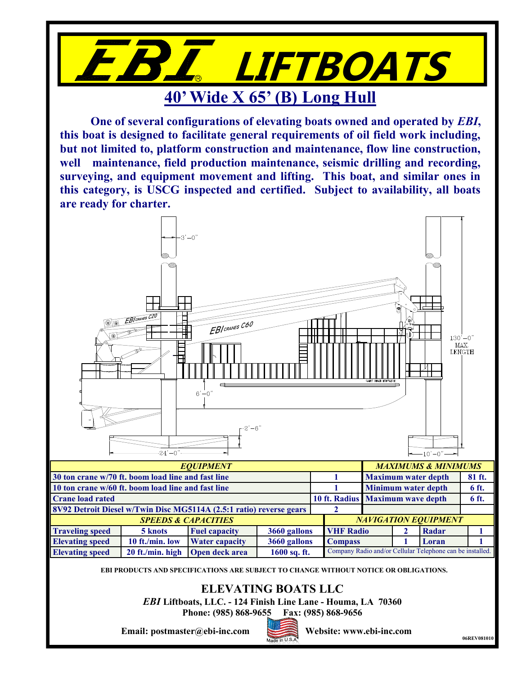

**One of several configurations of elevating boats owned and operated by** *EBI***, this boat is designed to facilitate general requirements of oil field work including, but not limited to, platform construction and maintenance, flow line construction, well maintenance, field production maintenance, seismic drilling and recording, surveying, and equipment movement and lifting. This boat, and similar ones in this category, is USCG inspected and certified. Subject to availability, all boats are ready for charter.**



**EBI PRODUCTS AND SPECIFICATIONS ARE SUBJECT TO CHANGE WITHOUT NOTICE OR OBLIGATIONS.**

**ELEVATING BOATS LLC**

*EBI* **Liftboats, LLC. - 124 Finish Line Lane - Houma, LA 70360**

**Phone: (985) 868-9655 Fax: (985) 868-9656**



**Email:** postmaster@ebi-inc.com **Website:** www.ebi-inc.com